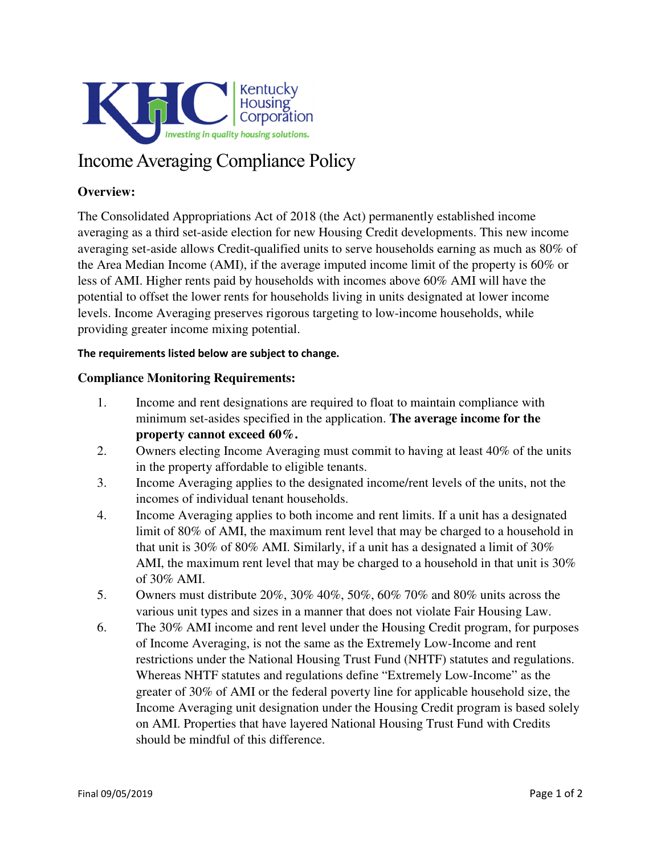

## Income Averaging Compliance Policy

## **Overview:**

The Consolidated Appropriations Act of 2018 (the Act) permanently established income averaging as a third set-aside election for new Housing Credit developments. This new income averaging set-aside allows Credit-qualified units to serve households earning as much as 80% of the Area Median Income (AMI), if the average imputed income limit of the property is 60% or less of AMI. Higher rents paid by households with incomes above 60% AMI will have the potential to offset the lower rents for households living in units designated at lower income levels. Income Averaging preserves rigorous targeting to low-income households, while providing greater income mixing potential.

## The requirements listed below are subject to change.

## **Compliance Monitoring Requirements:**

- 1. Income and rent designations are required to float to maintain compliance with minimum set-asides specified in the application. **The average income for the property cannot exceed 60%.**
- 2. Owners electing Income Averaging must commit to having at least 40% of the units in the property affordable to eligible tenants.
- 3. Income Averaging applies to the designated income/rent levels of the units, not the incomes of individual tenant households.
- 4. Income Averaging applies to both income and rent limits. If a unit has a designated limit of 80% of AMI, the maximum rent level that may be charged to a household in that unit is 30% of 80% AMI. Similarly, if a unit has a designated a limit of 30% AMI, the maximum rent level that may be charged to a household in that unit is 30% of 30% AMI.
- 5. Owners must distribute 20%, 30% 40%, 50%, 60% 70% and 80% units across the various unit types and sizes in a manner that does not violate Fair Housing Law.
- 6. The 30% AMI income and rent level under the Housing Credit program, for purposes of Income Averaging, is not the same as the Extremely Low-Income and rent restrictions under the National Housing Trust Fund (NHTF) statutes and regulations. Whereas NHTF statutes and regulations define "Extremely Low-Income" as the greater of 30% of AMI or the federal poverty line for applicable household size, the Income Averaging unit designation under the Housing Credit program is based solely on AMI. Properties that have layered National Housing Trust Fund with Credits should be mindful of this difference.